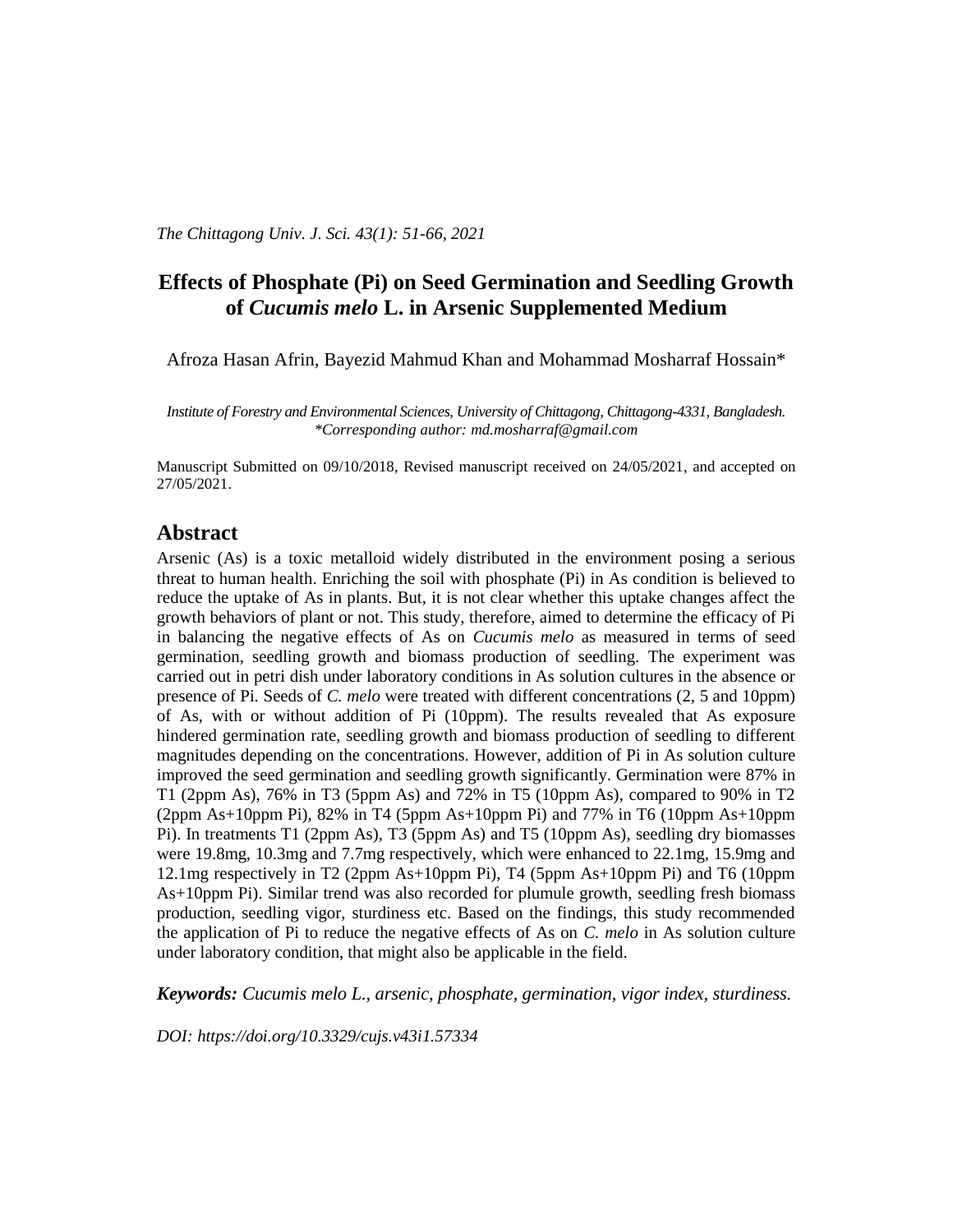# **Effects of Phosphate (Pi) on Seed Germination and Seedling Growth of** *Cucumis melo* **L. in Arsenic Supplemented Medium**

Afroza Hasan Afrin, Bayezid Mahmud Khan and Mohammad Mosharraf Hossain\*

*Institute of Forestry and Environmental Sciences, University of Chittagong, Chittagong-4331, Bangladesh. \*Corresponding author: [md.mosharraf@gmail.com](mailto:md.mosharraf@gmail.com)*

Manuscript Submitted on 09/10/2018, Revised manuscript received on 24/05/2021, and accepted on 27/05/2021.

## **Abstract**

Arsenic (As) is a toxic [metalloid](http://en.wikipedia.org/wiki/Metalloid) widely distributed in the environment posing a serious threat to human health. Enriching the soil with phosphate (Pi) in As condition is believed to reduce the uptake of As in plants. But, it is not clear whether this uptake changes affect the growth behaviors of plant or not. This study, therefore, aimed to determine the efficacy of Pi in balancing the negative effects of As on *Cucumis melo* as measured in terms of seed germination, seedling growth and biomass production of seedling. The experiment was carried out in petri dish under laboratory conditions in As solution cultures in the absence or presence of Pi. Seeds of *C. melo* were treated with different concentrations (2, 5 and 10ppm) of As, with or without addition of Pi (10ppm). The results revealed that As exposure hindered germination rate, seedling growth and biomass production of seedling to different magnitudes depending on the concentrations*.* However, addition of Pi in As solution culture improved the seed germination and seedling growth significantly. Germination were 87% in T1 (2ppm As), 76% in T3 (5ppm As) and 72% in T5 (10ppm As), compared to 90% in T2 (2ppm As+10ppm Pi), 82% in T4 (5ppm As+10ppm Pi) and 77% in T6 (10ppm As+10ppm Pi). In treatments T1 (2ppm As), T3 (5ppm As) and T5 (10ppm As), seedling dry biomasses were 19.8mg, 10.3mg and 7.7mg respectively, which were enhanced to 22.1mg, 15.9mg and 12.1mg respectively in T2 (2ppm As+10ppm Pi), T4 (5ppm As+10ppm Pi) and T6 (10ppm As+10ppm Pi). Similar trend was also recorded for plumule growth, seedling fresh biomass production, seedling vigor, sturdiness etc. Based on the findings, this study recommended the application of Pi to reduce the negative effects of As on *C. melo* in As solution culture under laboratory condition, that might also be applicable in the field.

*Keywords: Cucumis melo L., arsenic, phosphate, germination, vigor index, sturdiness.*

*DOI: [https://doi.org/10.3329/cujs.v43i1.57334](https://doi.org/10.3329/cujs.v42i1.54235)*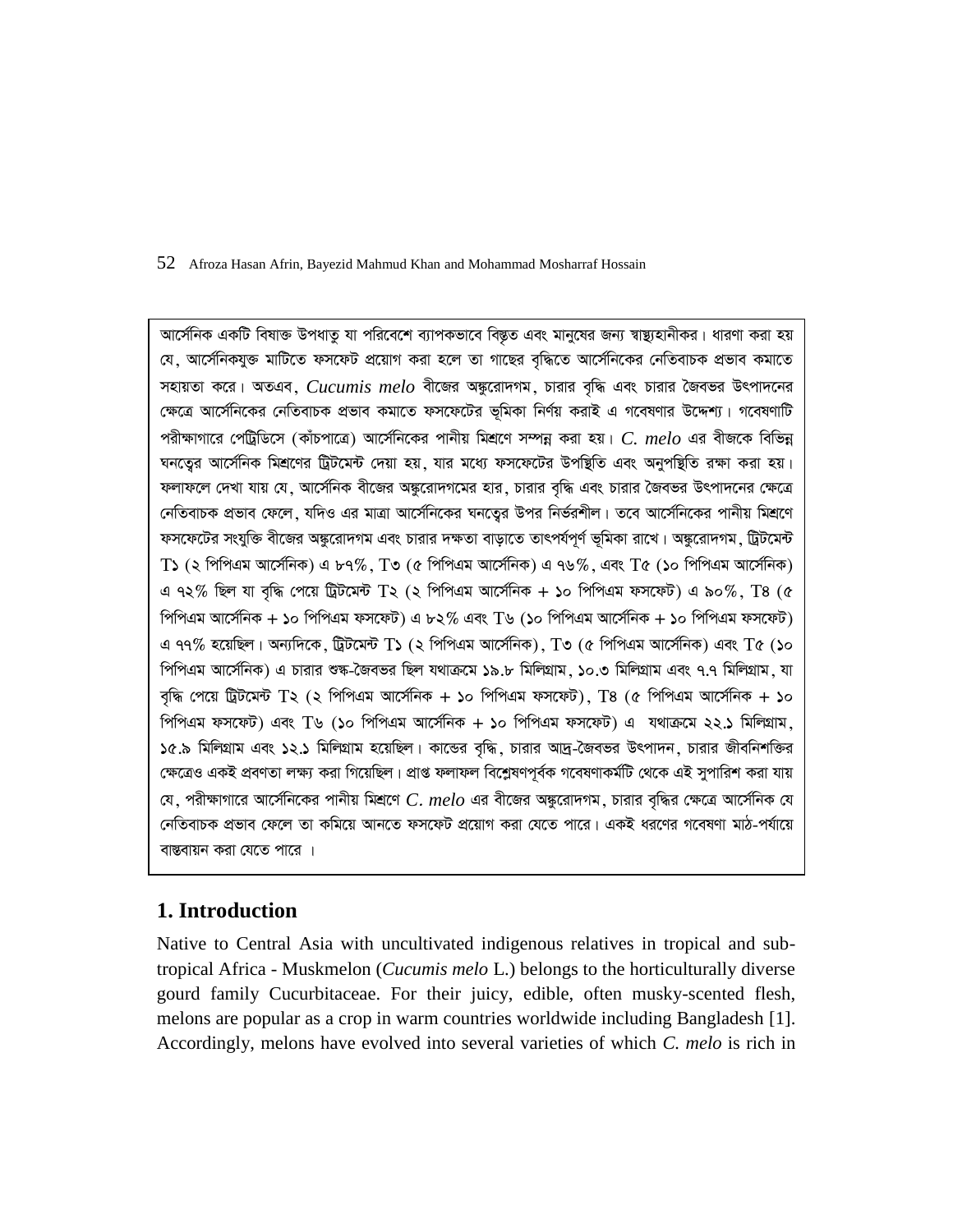আর্সেনিক একটি বিষাক্ত উপধাতু যা পরিবেশে ব্যাপকভাবে বিস্তৃত এবং মানুষের জন্য স্বাস্থ্যহানীকর। ধারণা করা হয় যে, আর্সেনিকযুক্ত মাটিতে ফসফেট প্রয়োগ করা হলে তা গাছের বৃদ্ধিতে আর্সেনিকের নেতিবাচক প্রভাব কমাতে সহায়তা করে। অতএব,  $\emph{Cucumis melo}$  বীজের অঙ্কুরোদগম, চারার বৃদ্ধি এবং চারার জৈবভর উৎপাদনের ক্ষেত্রে আর্সেনিকের নেতিবাচক প্রভাব কমাতে ফসফেটের ভূমিকা নির্ণয় করাই এ গবেষণার উদ্দেশ্য। গবেষণাটি পরীক্ষাগারে পেট্রিডিসে (কাঁচপাত্রে) আর্সেনিকের পানীয় মিশ্রণে সম্পন্ন করা হয়। C. melo এর বীজকে বিভিন্ন ঘনতেুর আর্সেনিক মিশ্রণের ট্রিটমেন্ট দেয়া হয়, যার মধ্যে ফসফেটের উপস্থিতি এবং অনুপস্থিতি রক্ষা করা হয়। ফলাফলে দেখা যায় যে, আর্সেনিক বীজের অঙ্কুরোদগমের হার, চারার বৃদ্ধি এবং চারার জৈবভর উৎপাদনের ক্ষেত্রে নেতিবাচক প্রভাব ফেলে, যদিও এর মাত্রা আর্সেনিকের ঘনতেুর উপর নির্ভরশীল। তবে আর্সেনিকের পানীয় মিশ্রণে ফসফেটের সংযুক্তি বীজের অঙ্কুরোদগম এবং চারার দক্ষতা বাড়াতে তাৎপর্যপূর্ণ ভূমিকা রাখে। অঙ্কুরোদগম, ট্রিটমেন্ট T১ (২ পিপিএম আর্সেনিক) এ ৮৭%, T৩ (৫ পিপিএম আর্সেনিক) এ ৭৬%, এবং T৫ (১০ পিপিএম আর্সেনিক) এ ৭২% ছিল যা বৃদ্ধি পেয়ে ট্ৰিটমেন্ট  $T$ ২ (২ পিপিএম আৰ্সেনিক + ১০ পিপিএম ফসফেট) এ ৯০%.  $T$ 8 (৫ পিপিএম আৰ্সেনিক + ১০ পিপিএম ফসফেট) এ ৮২% এবং T৬ (১০ পিপিএম আৰ্সেনিক + ১০ পিপিএম ফসফেট) এ ৭৭% হয়েছিল। অন্যদিকে, ট্রিটমেন্ট  $\rm T$ ১ (২ পিপিএম আর্সেনিক),  $\rm T$ ৩ (৫ পিপিএম আর্সেনিক) এবং  $\rm T$ ৫ (১০ পিপিএম আর্সেনিক) এ চারার শুষ্ক-জৈবভর ছিল যথাক্রমে ১৯.৮ মিলিগ্রাম, ১০.৩ মিলিগ্রাম এবং ৭.৭ মিলিগ্রাম, যা বৃদ্ধি পেয়ে ট্রিটমেন্ট  $T$ ২ (২ পিপিএম আর্সেনিক + ১০ পিপিএম ফসফেট),  $T$ ৪ (৫ পিপিএম আর্সেনিক + ১০ পিপিএম ফসফেট) এবং T৬ (১০ পিপিএম আর্সেনিক + ১০ পিপিএম ফসফেট) এ যথাক্রমে ২২.১ মিলিগ্রাম.  $\delta$ ে.৯ মিলিগ্রাম এবং ১২.১ মিলিগ্রাম হয়েছিল। কান্ডের বৃদ্ধি, চারার আদ্র-জৈবভর উৎপাদন, চারার জীবনিশক্তির ক্ষেত্রেও একই প্রবণতা লক্ষ্য করা গিয়েছিল। প্রাপ্ত ফলাফল বিশ্লেষণপূর্বক গবেষণাকর্মটি থেকে এই সুপারিশ করা যায়  $\alpha$ , পরীক্ষাগারে আর্সেনিকের পানীয় মিশ্রণে  $C.$   $melo$  এর বীজের অঙ্করোদগম, চারার বদ্ধির ক্ষেত্রে আর্সেনিক যে নেতিবাচক প্ৰভাব ফেলে তা কমিয়ে আনতে ফসফেট প্ৰয়োগ করা যেতে পারে। একই ধরণের গবেষণা মাঠ-পর্যায়ে বাস্তবায়ন করা যেতে পারে ।

# **1. Introduction**

Native to Central Asia with uncultivated indigenous relatives in tropical and subtropical Africa - Muskmelon (*Cucumis melo* L.) belongs to the horticulturally diverse gourd family Cucurbitaceae. For their juicy, edible, often musky-scented flesh, melons are popular as a crop in warm countries worldwide including Bangladesh [1]. Accordingly, melons have evolved into several varieties of which *C. melo* is rich in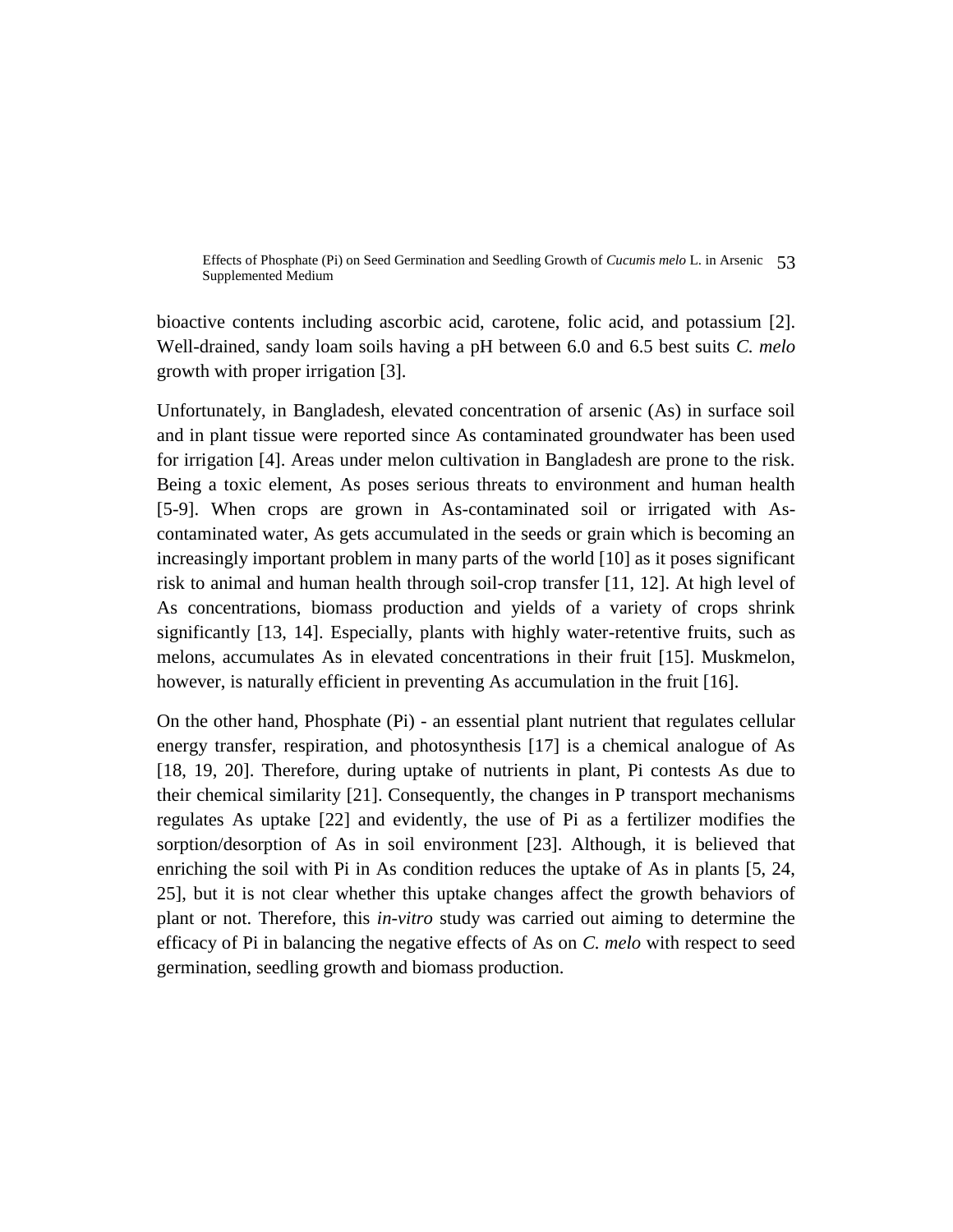Effects of Phosphate (Pi) on Seed Germination and Seedling Growth of *Cucumis melo* L. in Arsenic 53 Supplemented Medium

bioactive contents including ascorbic acid, carotene, folic acid, and potassium [2]. Well-drained, sandy loam soils having a pH between 6.0 and 6.5 best suits *C. melo* growth with proper irrigation [3].

Unfortunately, in Bangladesh, elevated concentration of arsenic (As) in surface soil and in plant tissue were reported since As contaminated groundwater has been used for irrigation [4]. Areas under melon cultivation in Bangladesh are prone to the risk. Being a toxic element, As poses serious threats to environment and human health [5-9]. When crops are grown in As-contaminated soil or irrigated with Ascontaminated water, As gets accumulated in the seeds or grain which is becoming an increasingly important problem in many parts of the world [10] as it poses significant risk to animal and human health through soil-crop transfer [11, 12]. At high level of As concentrations, biomass production and yields of a variety of crops shrink significantly [13, 14]. Especially, plants with highly water-retentive fruits, such as melons, accumulates As in elevated concentrations in their fruit [15]. Muskmelon, however, is naturally efficient in preventing As accumulation in the fruit [16].

On the other hand, Phosphate (Pi) - an essential plant nutrient that regulates cellular energy transfer, respiration, and photosynthesis [17] is a chemical analogue of As [18, 19, 20]. Therefore, during uptake of nutrients in plant, Pi contests As due to their chemical similarity [21]. Consequently, the changes in P transport mechanisms regulates As uptake [22] and evidently, the use of Pi as a fertilizer modifies the sorption/desorption of As in soil environment [23]. Although, it is believed that enriching the soil with Pi in As condition reduces the uptake of As in plants [5, 24, 25], but it is not clear whether this uptake changes affect the growth behaviors of plant or not. Therefore, this *in-vitro* study was carried out aiming to determine the efficacy of Pi in balancing the negative effects of As on *C. melo* with respect to seed germination, seedling growth and biomass production.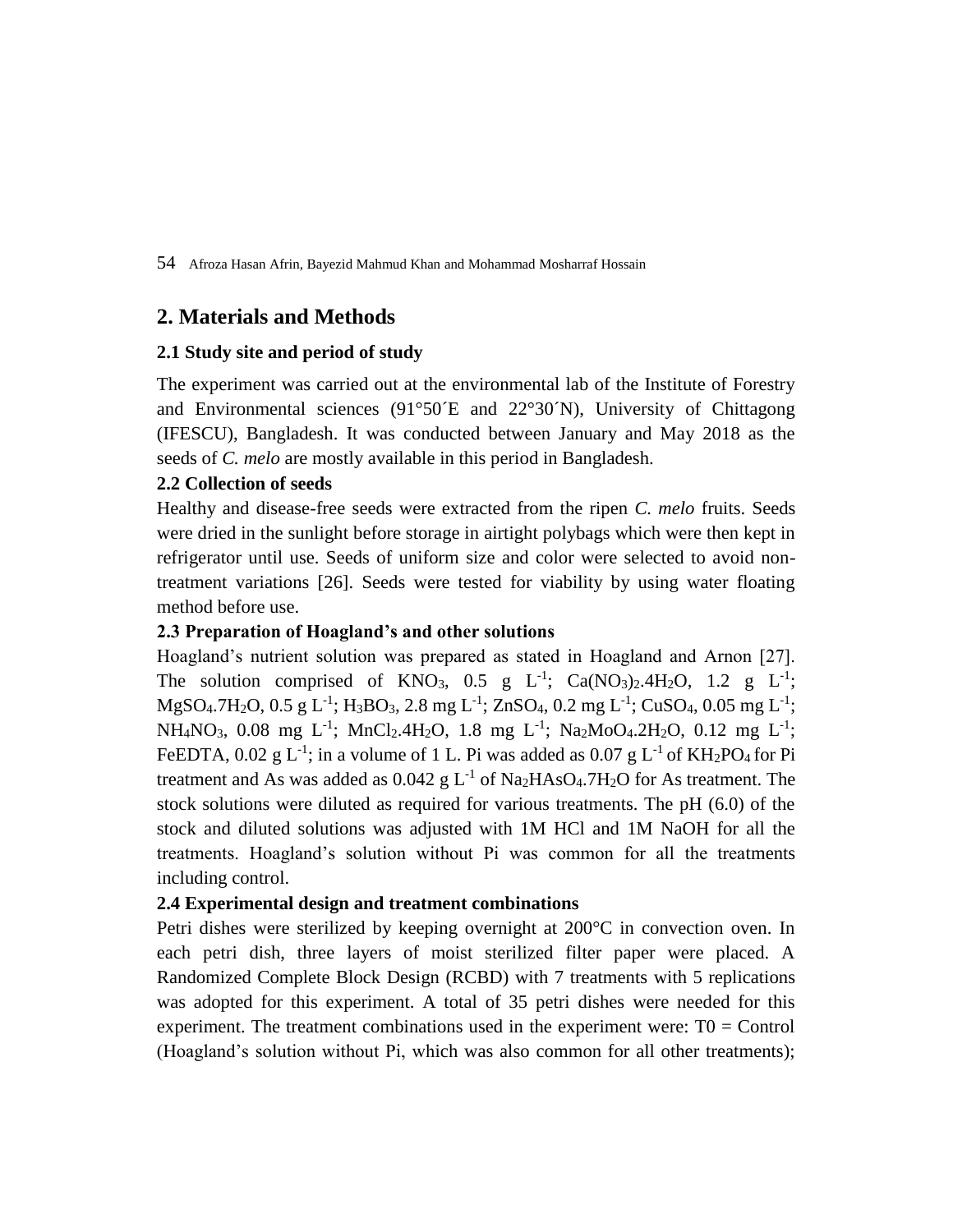## **2. Materials and Methods**

## **2.1 Study site and period of study**

The experiment was carried out at the environmental lab of the Institute of Forestry and Environmental sciences (91°50´E and 22°30´N), University of Chittagong (IFESCU), Bangladesh. It was conducted between January and May 2018 as the seeds of *C. melo* are mostly available in this period in Bangladesh.

## **2.2 Collection of seeds**

Healthy and disease-free seeds were extracted from the ripen *C. melo* fruits. Seeds were dried in the sunlight before storage in airtight polybags which were then kept in refrigerator until use. Seeds of uniform size and color were selected to avoid nontreatment variations [26]. Seeds were tested for viability by using water floating method before use.

## **2.3 Preparation of Hoagland's and other solutions**

Hoagland's nutrient solution was prepared as stated in Hoagland and Arnon [27]. The solution comprised of KNO<sub>3</sub>, 0.5 g L<sup>-1</sup>; Ca(NO<sub>3</sub>)<sub>2</sub>.4H<sub>2</sub>O, 1.2 g L<sup>-1</sup>;  $MgSO_4$ .7H<sub>2</sub>O, 0.5 g L<sup>-1</sup>; H<sub>3</sub>BO<sub>3</sub>, 2.8 mg L<sup>-1</sup>; ZnSO<sub>4</sub>, 0.2 mg L<sup>-1</sup>; CuSO<sub>4</sub>, 0.05 mg L<sup>-1</sup>; NH<sub>4</sub>NO<sub>3</sub>, 0.08 mg L<sup>-1</sup>; MnCl<sub>2</sub>.4H<sub>2</sub>O, 1.8 mg L<sup>-1</sup>; Na<sub>2</sub>MoO<sub>4</sub>.2H<sub>2</sub>O, 0.12 mg L<sup>-1</sup>; FeEDTA, 0.02 g L<sup>-1</sup>; in a volume of 1 L. Pi was added as 0.07 g L<sup>-1</sup> of KH<sub>2</sub>PO<sub>4</sub> for Pi treatment and As was added as  $0.042$  g L<sup>-1</sup> of Na<sub>2</sub>HAsO<sub>4</sub>.7H<sub>2</sub>O for As treatment. The stock solutions were diluted as required for various treatments. The pH (6.0) of the stock and diluted solutions was adjusted with 1M HCl and 1M NaOH for all the treatments. Hoagland's solution without Pi was common for all the treatments including control.

## **2.4 Experimental design and treatment combinations**

Petri dishes were sterilized by keeping overnight at 200°C in convection oven. In each petri dish, three layers of moist sterilized filter paper were placed. A Randomized Complete Block Design (RCBD) with 7 treatments with 5 replications was adopted for this experiment. A total of 35 petri dishes were needed for this experiment. The treatment combinations used in the experiment were:  $T0 =$ Control (Hoagland's solution without Pi, which was also common for all other treatments);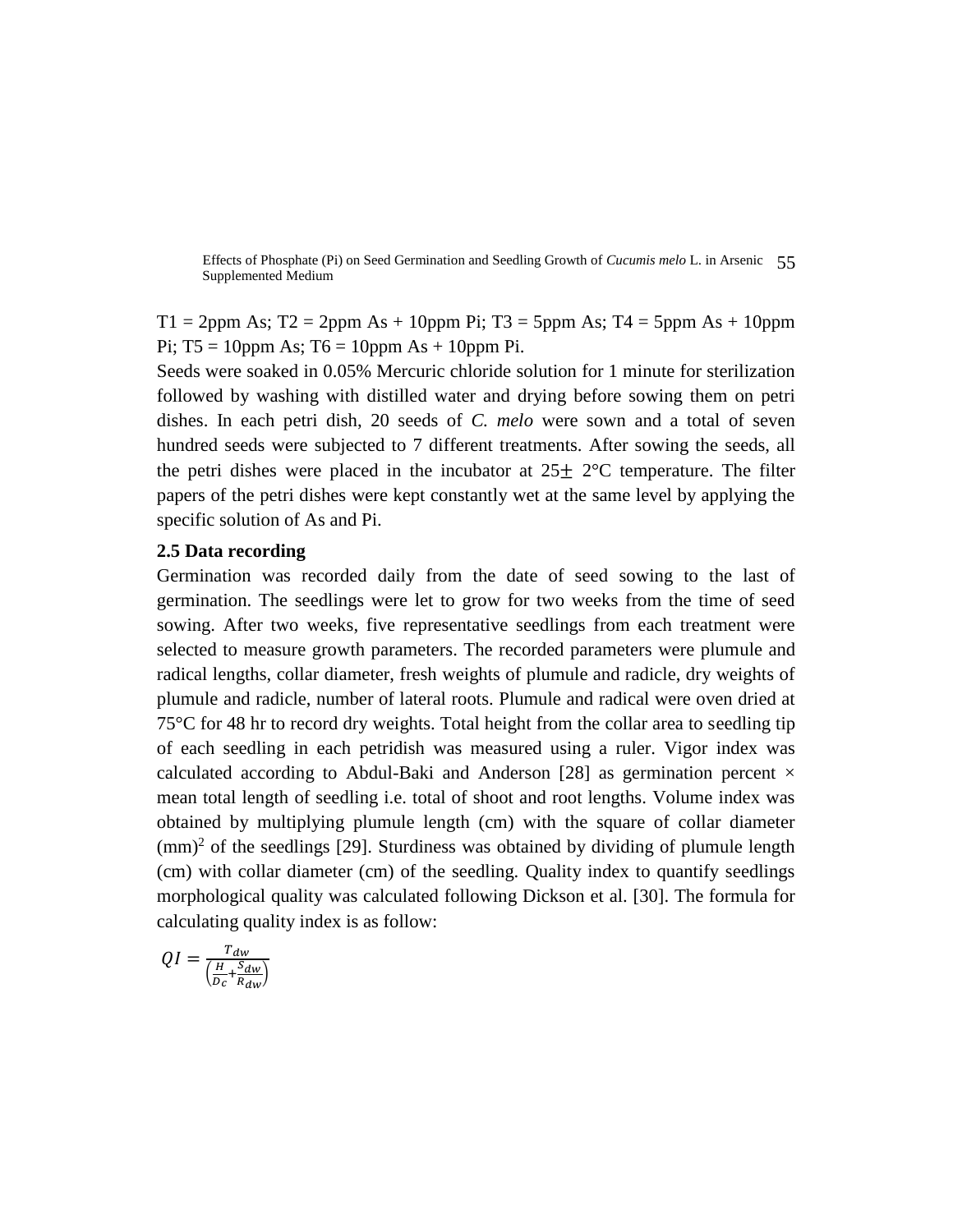Effects of Phosphate (Pi) on Seed Germination and Seedling Growth of *Cucumis melo* L. in Arsenic 55 Supplemented Medium

 $T1 = 2$ ppm As; T2 = 2ppm As + 10ppm Pi; T3 = 5ppm As; T4 = 5ppm As + 10ppm Pi;  $T5 = 10$ ppm As;  $T6 = 10$ ppm As + 10ppm Pi.

Seeds were soaked in 0.05% Mercuric chloride solution for 1 minute for sterilization followed by washing with distilled water and drying before sowing them on petri dishes. In each petri dish, 20 seeds of *C. melo* were sown and a total of seven hundred seeds were subjected to 7 different treatments. After sowing the seeds, all the petri dishes were placed in the incubator at  $25\pm 2^{\circ}$ C temperature. The filter papers of the petri dishes were kept constantly wet at the same level by applying the specific solution of As and Pi.

### **2.5 Data recording**

Germination was recorded daily from the date of seed sowing to the last of germination. The seedlings were let to grow for two weeks from the time of seed sowing. After two weeks, five representative seedlings from each treatment were selected to measure growth parameters. The recorded parameters were plumule and radical lengths, collar diameter, fresh weights of plumule and radicle, dry weights of plumule and radicle, number of lateral roots. Plumule and radical were oven dried at 75°C for 48 hr to record dry weights. Total height from the collar area to seedling tip of each seedling in each petridish was measured using a ruler. Vigor index was calculated according to Abdul-Baki and Anderson [28] as germination percent  $\times$ mean total length of seedling i.e. total of shoot and root lengths. Volume index was obtained by multiplying plumule length (cm) with the square of collar diameter  $\text{(mm)}^2$  of the seedlings [29]. Sturdiness was obtained by dividing of plumule length (cm) with collar diameter (cm) of the seedling. Quality index to quantify seedlings morphological quality was calculated following Dickson et al. [30]. The formula for calculating quality index is as follow:

$$
QI = \frac{T_{dw}}{\left(\frac{H}{D_c} + \frac{S_{dw}}{R_{dw}}\right)}
$$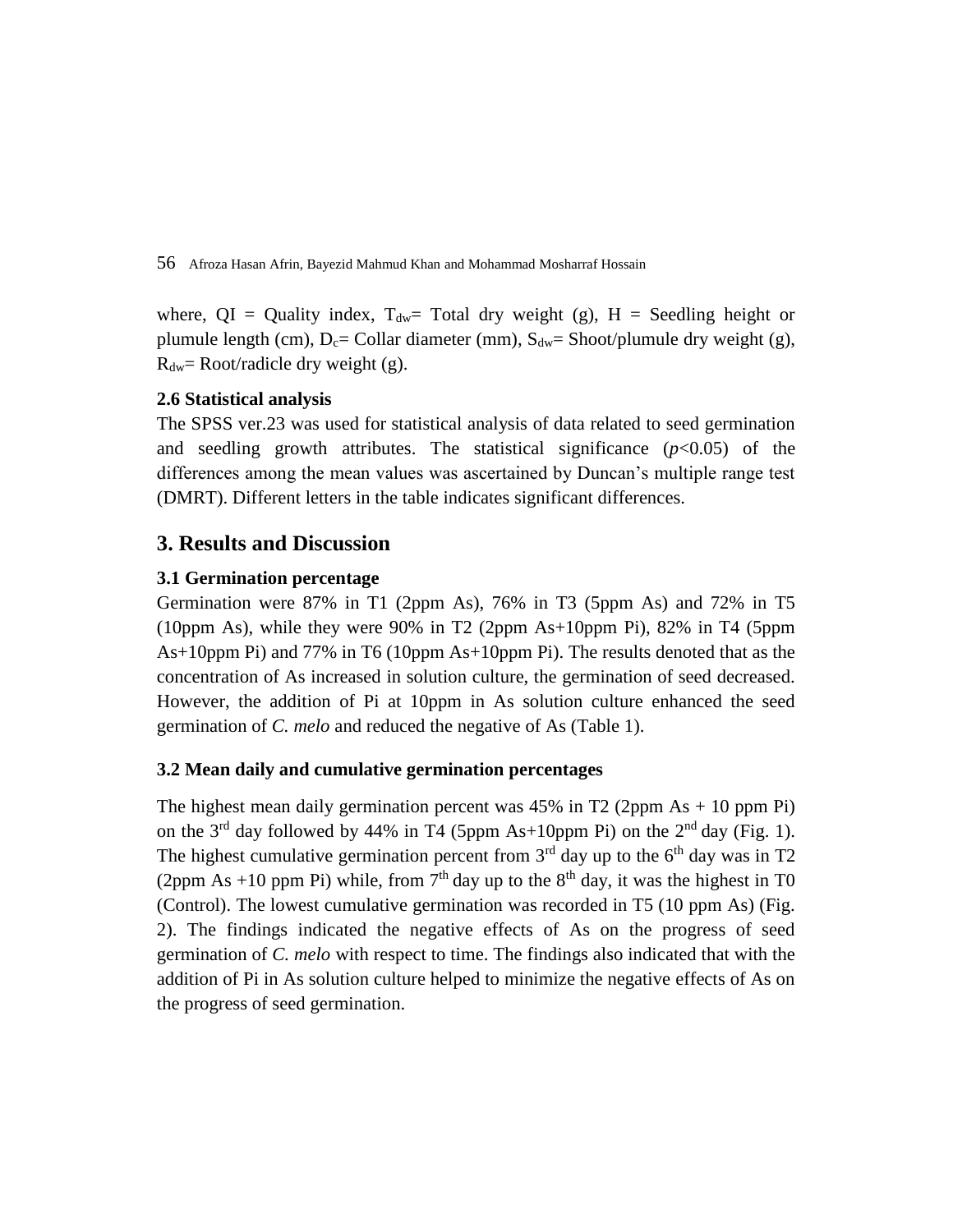where,  $QI =$  Quality index,  $T_{dw}$  Total dry weight (g),  $H =$  Seedling height or plumule length (cm),  $D_c$ = Collar diameter (mm),  $S_{dw}$ = Shoot/plumule dry weight (g),  $R_{dw}$ = Root/radicle dry weight (g).

## **2.6 Statistical analysis**

The SPSS ver.23 was used for statistical analysis of data related to seed germination and seedling growth attributes. The statistical significance  $(p<0.05)$  of the differences among the mean values was ascertained by Duncan's multiple range test (DMRT). Different letters in the table indicates significant differences.

## **3. Results and Discussion**

## **3.1 Germination percentage**

Germination were 87% in T1 (2ppm As), 76% in T3 (5ppm As) and 72% in T5 (10ppm As), while they were 90% in T2 (2ppm As+10ppm Pi), 82% in T4 (5ppm As+10ppm Pi) and 77% in T6 (10ppm As+10ppm Pi). The results denoted that as the concentration of As increased in solution culture, the germination of seed decreased. However, the addition of Pi at 10ppm in As solution culture enhanced the seed germination of *C. melo* and reduced the negative of As (Table 1).

## **3.2 Mean daily and cumulative germination percentages**

The highest mean daily germination percent was  $45\%$  in T2 (2ppm As  $+$  10 ppm Pi) on the  $3<sup>rd</sup>$  day followed by 44% in T4 (5ppm As+10ppm Pi) on the  $2<sup>nd</sup>$  day (Fig. 1). The highest cumulative germination percent from  $3<sup>rd</sup>$  day up to the 6<sup>th</sup> day was in T2 (2ppm As +10 ppm Pi) while, from  $7<sup>th</sup>$  day up to the  $8<sup>th</sup>$  day, it was the highest in T0 (Control). The lowest cumulative germination was recorded in T5 (10 ppm As) (Fig. 2). The findings indicated the negative effects of As on the progress of seed germination of *C. melo* with respect to time. The findings also indicated that with the addition of Pi in As solution culture helped to minimize the negative effects of As on the progress of seed germination.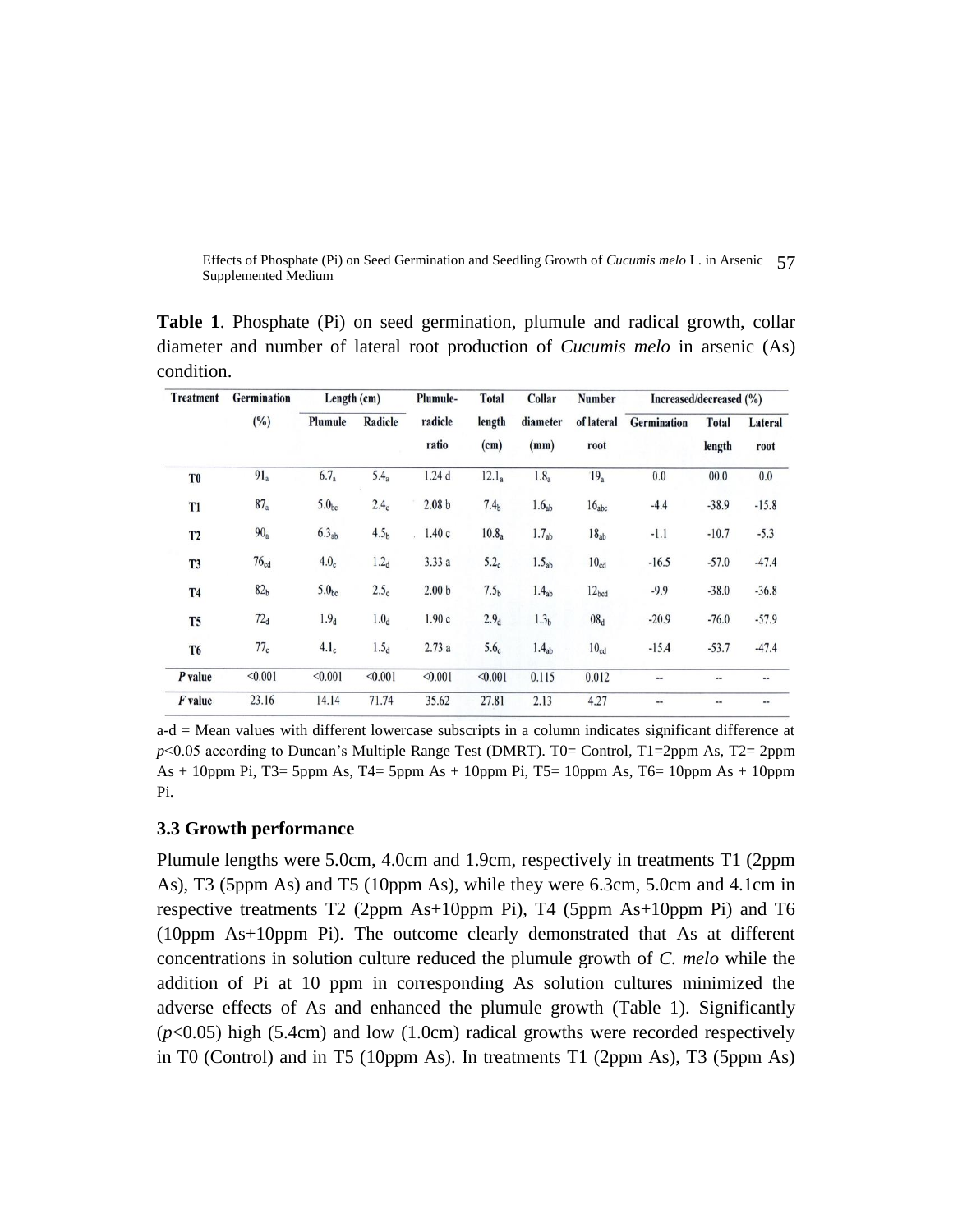Effects of Phosphate (Pi) on Seed Germination and Seedling Growth of *Cucumis melo* L. in Arsenic 57 Supplemented Medium

**Table 1**. Phosphate (Pi) on seed germination, plumule and radical growth, collar diameter and number of lateral root production of *Cucumis melo* in arsenic (As) condition.

| <b>Treatment</b> | Germination<br>(%) | Length $(cm)$     |                  | Plumule-                | <b>Total</b>      | Collar            | Number             | Increased/decreased (%) |                        |                 |
|------------------|--------------------|-------------------|------------------|-------------------------|-------------------|-------------------|--------------------|-------------------------|------------------------|-----------------|
|                  |                    | Plumule           | Radicle          | radicle<br>ratio        | length<br>(cm)    | diameter<br>(mm)  | of lateral<br>root | Germination             | <b>Total</b><br>length | Lateral<br>root |
| T <sub>0</sub>   | $91_a$             | $6.7_a$           | 5.4 <sub>a</sub> | 1.24 <sub>d</sub>       | $12.1_a$          | 1.8 <sub>a</sub>  | 19 <sub>a</sub>    | 0.0                     | 00.0                   | 0.0             |
| T <sub>1</sub>   | 87a                | 5.0 <sub>bc</sub> | 2.4 <sub>c</sub> | 2.08 <sub>b</sub>       | 7.4 <sub>b</sub>  | 1.6 <sub>ab</sub> | $16_{abc}$         | $-4.4$                  | $-38.9$                | $-15.8$         |
| T <sub>2</sub>   | $90_a$             | 6.3 <sub>ab</sub> | 4.5 <sub>b</sub> | 1.40c<br>$\mathbf{r}$ . | 10.8 <sub>a</sub> | 1.7 <sub>ab</sub> | $18_{ab}$          | $-1.1$                  | $-10.7$                | $-5.3$          |
| T <sub>3</sub>   | 76 <sub>cd</sub>   | 4.0 <sub>c</sub>  | 1.2 <sub>d</sub> | 3.33a                   | 5.2 <sub>c</sub>  | 1.5 <sub>ab</sub> | 10 <sub>cd</sub>   | $-16.5$                 | $-57.0$                | $-47.4$         |
| <b>T4</b>        | 82 <sub>b</sub>    | 5.0 <sub>bc</sub> | 2.5 <sub>c</sub> | 2.00 <sub>b</sub>       | 7.5 <sub>b</sub>  | 1.4 <sub>ab</sub> | 12 <sub>bcd</sub>  | $-9.9$                  | $-38.0$                | $-36.8$         |
| T <sub>5</sub>   | 72 <sub>d</sub>    | 1.9 <sub>d</sub>  | 1.0 <sub>d</sub> | 1.90c                   | 2.9 <sub>d</sub>  | 1.3 <sub>b</sub>  | 08 <sub>d</sub>    | $-20.9$                 | $-76.0$                | $-57.9$         |
| T <sub>6</sub>   | 77 <sub>c</sub>    | 4.1 <sub>c</sub>  | 1.5 <sub>d</sub> | 2.73a                   | 5.6 <sub>c</sub>  | 1.4 <sub>ab</sub> | 10 <sub>cd</sub>   | $-15.4$                 | $-53.7$                | $-47.4$         |
| P value          | < 0.001            | < 0.001           | < 0.001          | < 0.001                 | < 0.001           | 0.115             | 0.012              | --                      | --                     | --              |
| F value          | 23.16              | 14.14             | 71.74            | 35.62                   | 27.81             | 2.13              | 4.27               | --                      | --                     | …               |

a-d = Mean values with different lowercase subscripts in a column indicates significant difference at *p*<0.05 according to Duncan's Multiple Range Test (DMRT). T0= Control, T1=2ppm As, T2= 2ppm As  $+ 10$ ppm Pi, T3= 5ppm As, T4= 5ppm As  $+ 10$ ppm Pi, T5= 10ppm As, T6= 10ppm As  $+ 10$ ppm Pi.

## **3.3 Growth performance**

Plumule lengths were 5.0cm, 4.0cm and 1.9cm, respectively in treatments T1 (2ppm As), T3 (5ppm As) and T5 (10ppm As), while they were 6.3cm, 5.0cm and 4.1cm in respective treatments T2 (2ppm As+10ppm Pi), T4 (5ppm As+10ppm Pi) and T6 (10ppm As+10ppm Pi). The outcome clearly demonstrated that As at different concentrations in solution culture reduced the plumule growth of *C. melo* while the addition of Pi at 10 ppm in corresponding As solution cultures minimized the adverse effects of As and enhanced the plumule growth (Table 1). Significantly (*p*<0.05) high (5.4cm) and low (1.0cm) radical growths were recorded respectively in T0 (Control) and in T5 (10ppm As). In treatments T1 (2ppm As), T3 (5ppm As)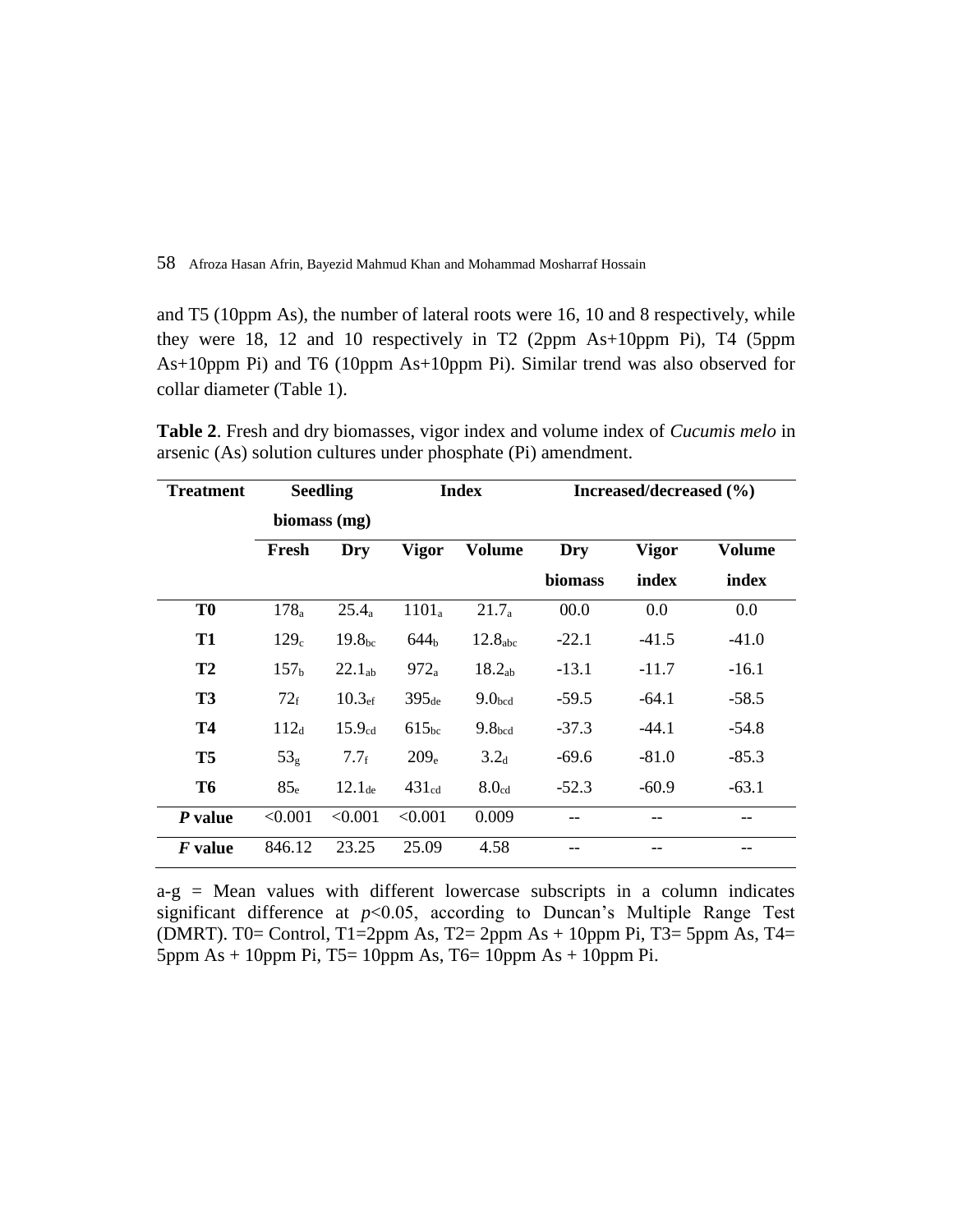and T5 (10ppm As), the number of lateral roots were 16, 10 and 8 respectively, while they were 18, 12 and 10 respectively in T2 (2ppm As+10ppm Pi), T4 (5ppm As+10ppm Pi) and T6 (10ppm As+10ppm Pi). Similar trend was also observed for collar diameter (Table 1).

**Table 2**. Fresh and dry biomasses, vigor index and volume index of *Cucumis melo* in arsenic (As) solution cultures under phosphate (Pi) amendment.

| <b>Treatment</b> | <b>Seedling</b>  |                    | <b>Index</b>      |                     | Increased/decreased (%) |              |         |  |
|------------------|------------------|--------------------|-------------------|---------------------|-------------------------|--------------|---------|--|
|                  | biomass (mg)     |                    |                   |                     |                         |              |         |  |
|                  | Fresh            | Dry                | <b>Vigor</b>      | <b>Volume</b>       | Dry                     | <b>Vigor</b> | Volume  |  |
|                  |                  |                    |                   |                     | <b>biomass</b>          | index        | index   |  |
| T <sub>0</sub>   | 178 <sub>a</sub> | $25.4_a$           | $1101_a$          | $21.7_a$            | 00.0                    | 0.0          | 0.0     |  |
| <b>T1</b>        | 129 <sub>c</sub> | 19.8 <sub>bc</sub> | 644 <sub>b</sub>  | 12.8 <sub>abc</sub> | $-22.1$                 | $-41.5$      | $-41.0$ |  |
| T <sub>2</sub>   | 157 <sub>b</sub> | $22.1_{ab}$        | $972_a$           | 18.2 <sub>ab</sub>  | $-13.1$                 | $-11.7$      | $-16.1$ |  |
| T <sub>3</sub>   | 72 <sub>f</sub>  | 10.3 <sub>ef</sub> | $395_{de}$        | 9.0 <sub>bcd</sub>  | $-59.5$                 | $-64.1$      | $-58.5$ |  |
| <b>T4</b>        | $112_d$          | 15.9 <sub>cd</sub> | 615 <sub>bc</sub> | 9.8 <sub>bcd</sub>  | $-37.3$                 | $-44.1$      | $-54.8$ |  |
| T <sub>5</sub>   | 53 <sub>g</sub>  | $7.7_f$            | 209 <sub>e</sub>  | 3.2 <sub>d</sub>    | $-69.6$                 | $-81.0$      | $-85.3$ |  |
| <b>T6</b>        | 85 <sub>e</sub>  | $12.1$ de          | $431_{cd}$        | 8.0 <sub>cd</sub>   | $-52.3$                 | $-60.9$      | $-63.1$ |  |
| $P$ value        | < 0.001          | < 0.001            | < 0.001           | 0.009               |                         | --           |         |  |
| F value          | 846.12           | 23.25              | 25.09             | 4.58                |                         |              |         |  |

 $a-g$  = Mean values with different lowercase subscripts in a column indicates significant difference at  $p<0.05$ , according to Duncan's Multiple Range Test (DMRT). T0= Control, T1=2ppm As, T2= 2ppm As + 10ppm Pi, T3= 5ppm As, T4= 5ppm As + 10ppm Pi, T5= 10ppm As, T6= 10ppm As + 10ppm Pi.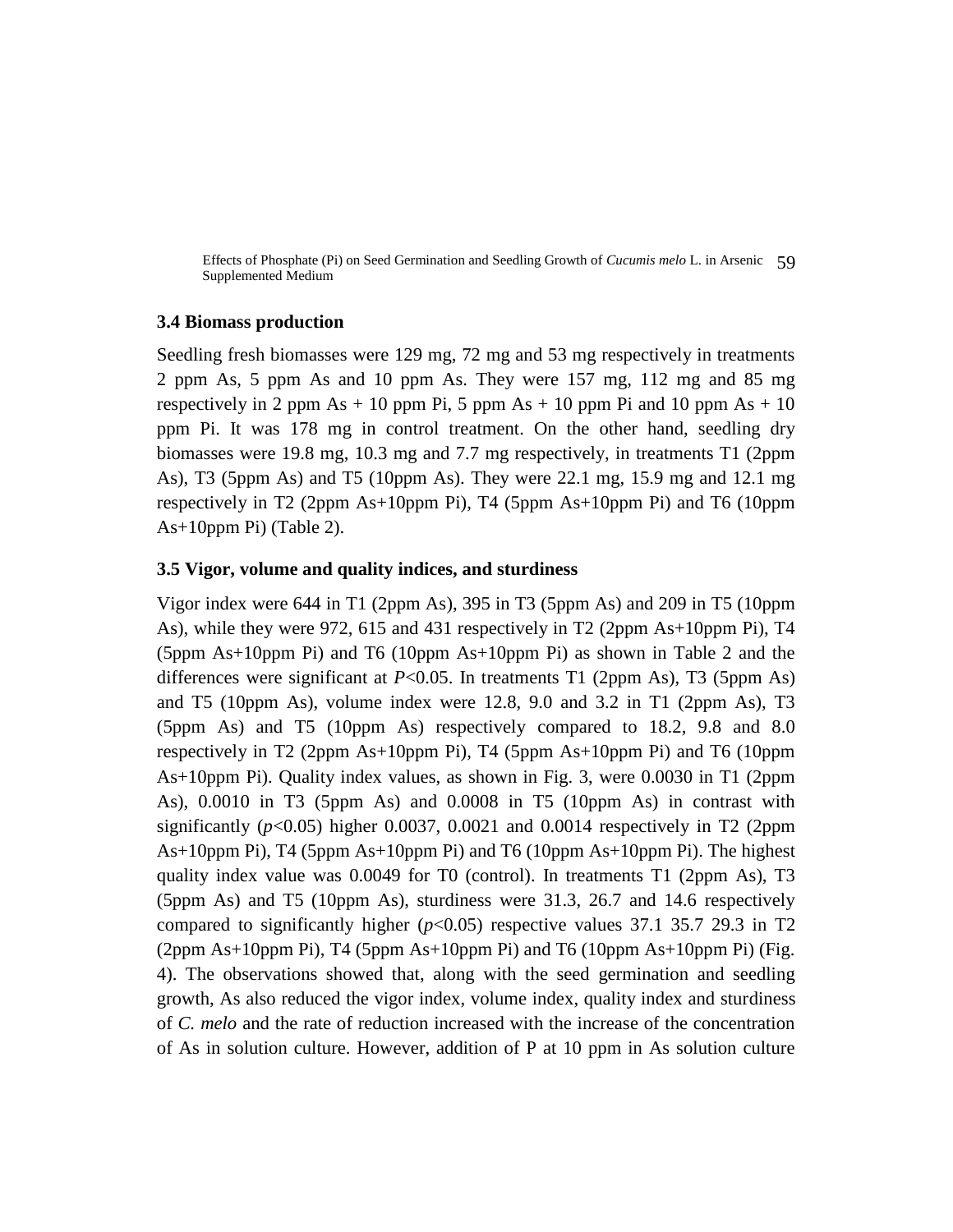Effects of Phosphate (Pi) on Seed Germination and Seedling Growth of *Cucumis melo* L. in Arsenic 59 Supplemented Medium

### **3.4 Biomass production**

Seedling fresh biomasses were 129 mg, 72 mg and 53 mg respectively in treatments 2 ppm As, 5 ppm As and 10 ppm As. They were 157 mg, 112 mg and 85 mg respectively in 2 ppm As + 10 ppm Pi, 5 ppm As + 10 ppm Pi and 10 ppm As + 10 ppm Pi. It was 178 mg in control treatment. On the other hand, seedling dry biomasses were 19.8 mg, 10.3 mg and 7.7 mg respectively, in treatments T1 (2ppm As), T3 (5ppm As) and T5 (10ppm As). They were 22.1 mg, 15.9 mg and 12.1 mg respectively in T2 (2ppm As+10ppm Pi), T4 (5ppm As+10ppm Pi) and T6 (10ppm As+10ppm Pi) (Table 2).

## **3.5 Vigor, volume and quality indices, and sturdiness**

Vigor index were 644 in T1 (2ppm As), 395 in T3 (5ppm As) and 209 in T5 (10ppm As), while they were 972, 615 and 431 respectively in T2 (2ppm As+10ppm Pi), T4 (5ppm As+10ppm Pi) and T6 (10ppm As+10ppm Pi) as shown in Table 2 and the differences were significant at *P*<0.05. In treatments T1 (2ppm As), T3 (5ppm As) and T5 (10ppm As), volume index were 12.8, 9.0 and 3.2 in T1 (2ppm As), T3 (5ppm As) and T5 (10ppm As) respectively compared to 18.2, 9.8 and 8.0 respectively in T2 (2ppm As+10ppm Pi), T4 (5ppm As+10ppm Pi) and T6 (10ppm As+10ppm Pi). Quality index values, as shown in Fig. 3, were 0.0030 in T1 (2ppm As), 0.0010 in T3 (5ppm As) and 0.0008 in T5 (10ppm As) in contrast with significantly  $(p<0.05)$  higher 0.0037, 0.0021 and 0.0014 respectively in T2 (2ppm As+10ppm Pi), T4 (5ppm As+10ppm Pi) and T6 (10ppm As+10ppm Pi). The highest quality index value was 0.0049 for T0 (control). In treatments T1 (2ppm As), T3 (5ppm As) and T5 (10ppm As), sturdiness were 31.3, 26.7 and 14.6 respectively compared to significantly higher  $(p<0.05)$  respective values 37.1 35.7 29.3 in T2 (2ppm As+10ppm Pi), T4 (5ppm As+10ppm Pi) and T6 (10ppm As+10ppm Pi) (Fig. 4). The observations showed that, along with the seed germination and seedling growth, As also reduced the vigor index, volume index, quality index and sturdiness of *C. melo* and the rate of reduction increased with the increase of the concentration of As in solution culture. However, addition of P at 10 ppm in As solution culture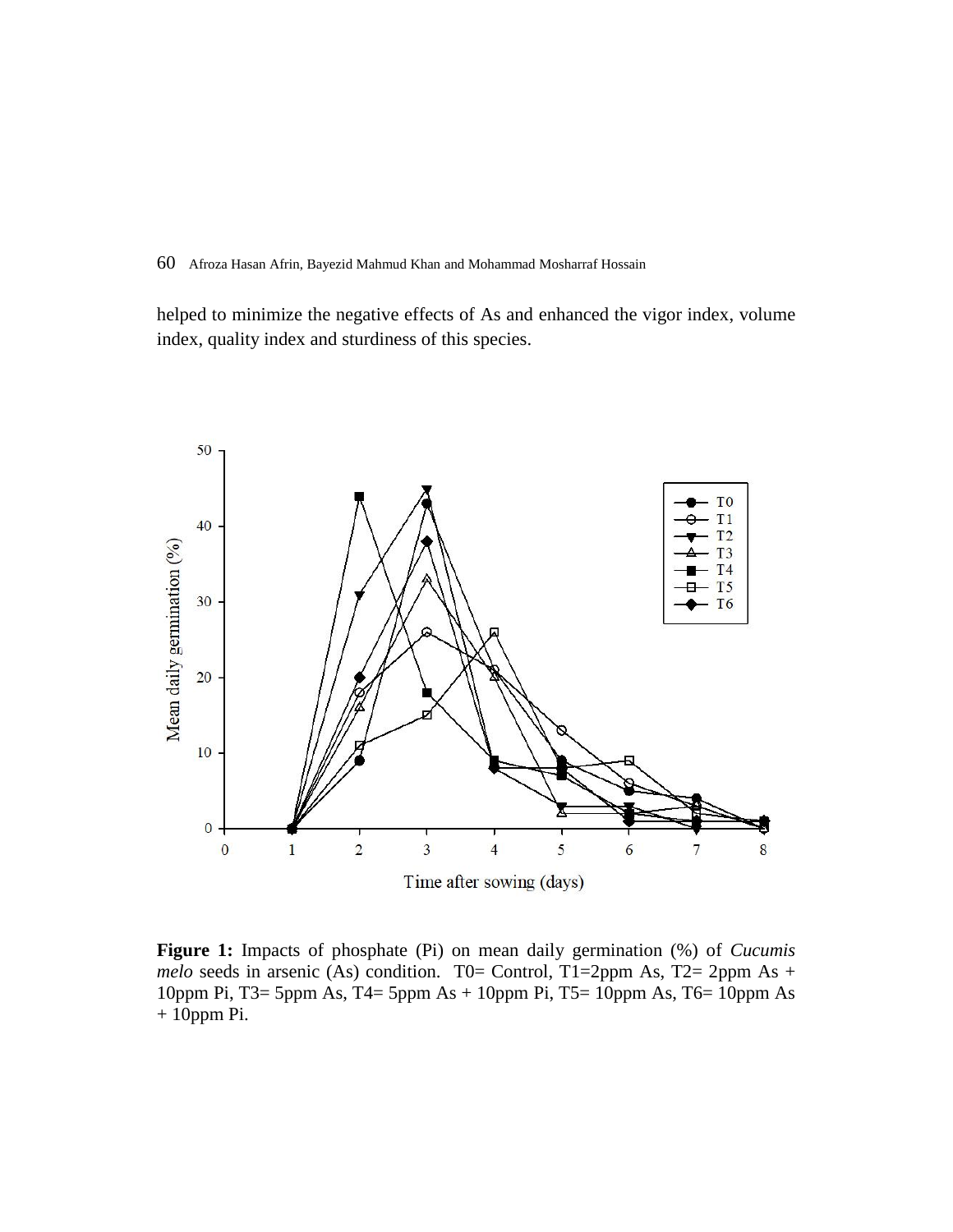helped to minimize the negative effects of As and enhanced the vigor index, volume index, quality index and sturdiness of this species.



**Figure 1:** Impacts of phosphate (Pi) on mean daily germination (%) of *Cucumis melo* seeds in arsenic (As) condition. T0= Control, T1=2ppm As, T2= 2ppm As + 10ppm Pi, T3= 5ppm As, T4= 5ppm As + 10ppm Pi, T5= 10ppm As, T6= 10ppm As + 10ppm Pi.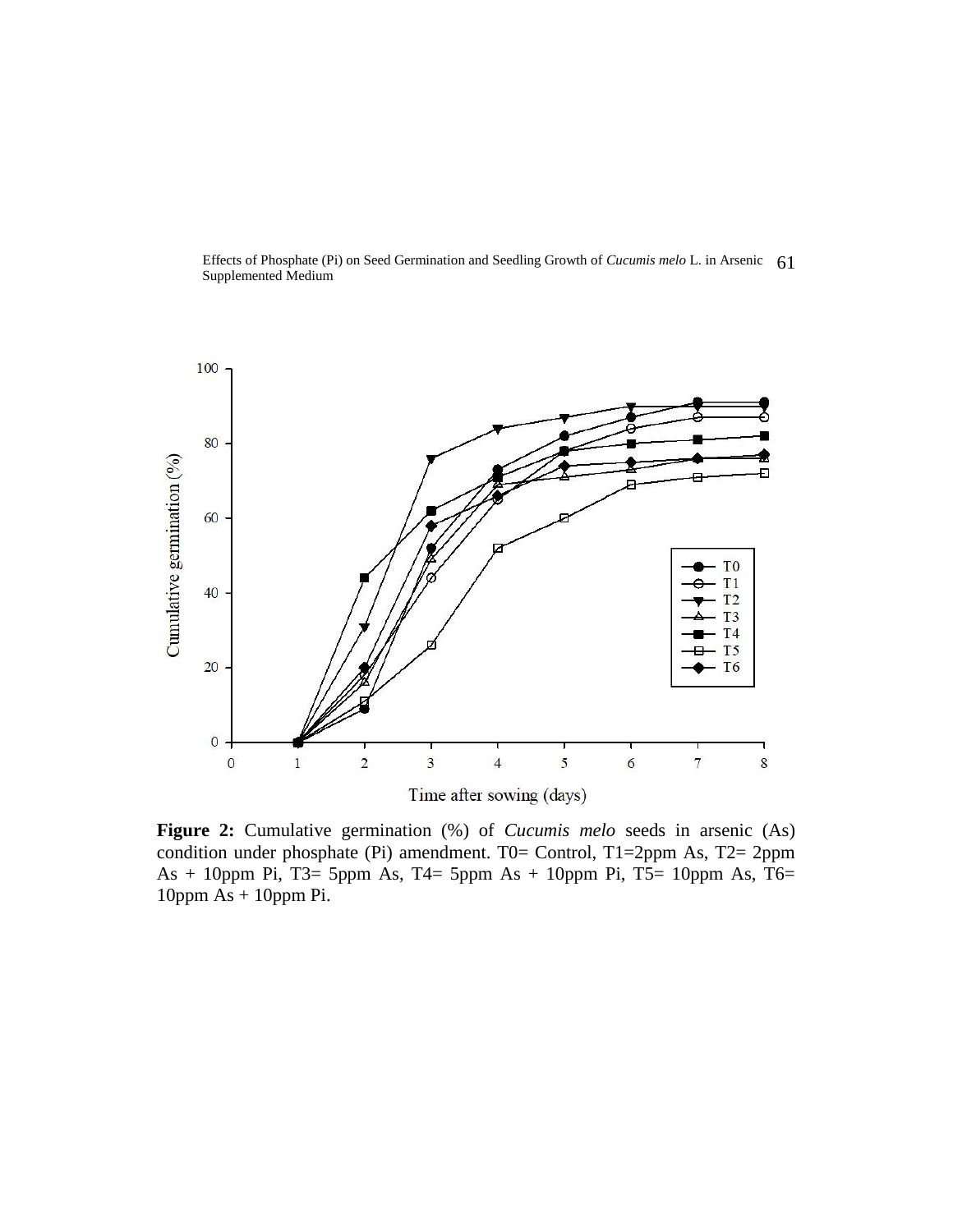Effects of Phosphate (Pi) on Seed Germination and Seedling Growth of *Cucumis melo* L. in Arsenic 61 Supplemented Medium



**Figure 2:** Cumulative germination (%) of *Cucumis melo* seeds in arsenic (As) condition under phosphate (Pi) amendment. T0= Control, T1=2ppm As, T2= 2ppm As + 10ppm Pi, T3= 5ppm As, T4= 5ppm As + 10ppm Pi, T5= 10ppm As, T6= 10ppm As + 10ppm Pi.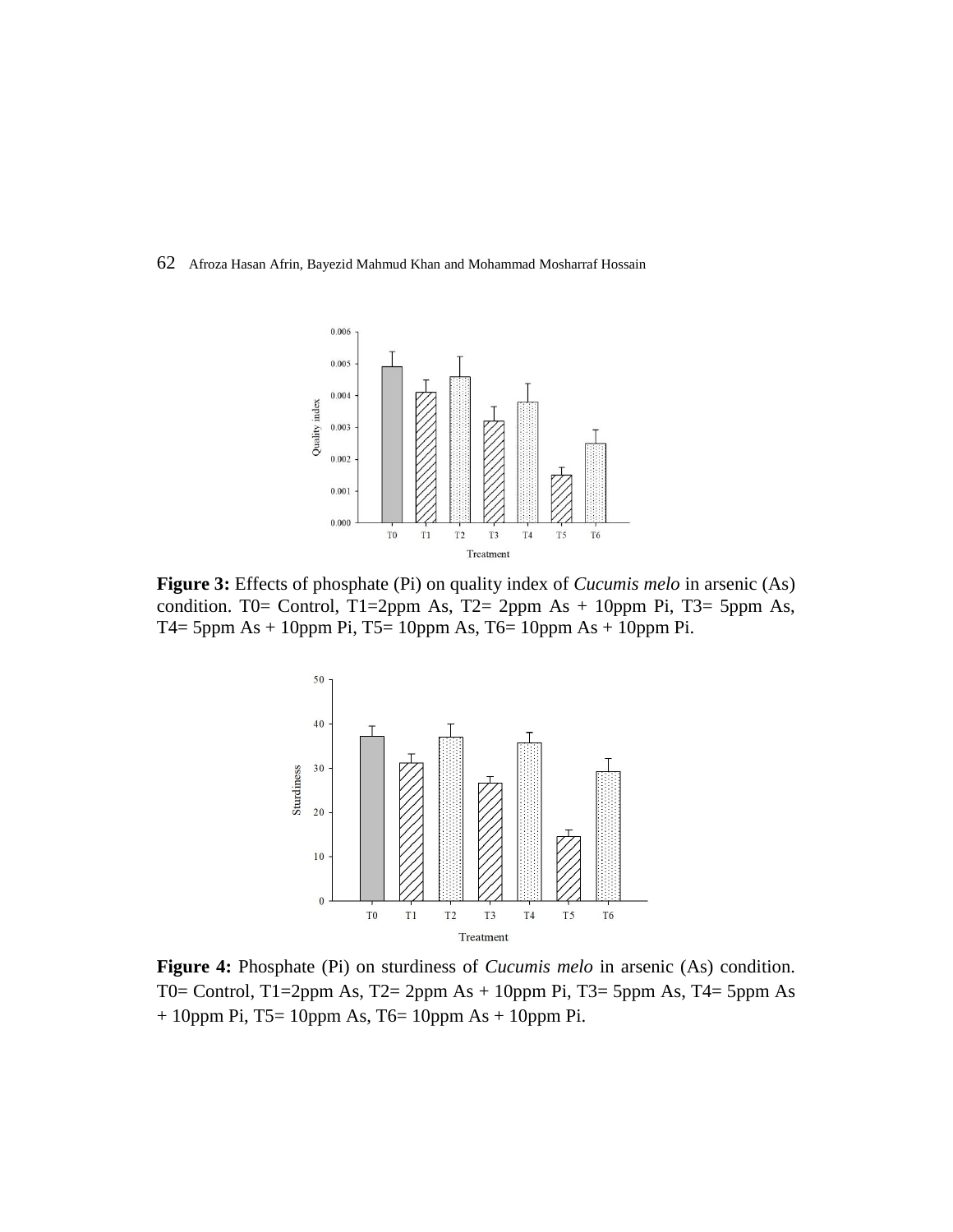

**Figure 3:** Effects of phosphate (Pi) on quality index of *Cucumis melo* in arsenic (As) condition. T0= Control, T1=2ppm As, T2= 2ppm As + 10ppm Pi, T3= 5ppm As, T4= 5ppm As + 10ppm Pi, T5= 10ppm As, T6= 10ppm As + 10ppm Pi.



**Figure 4:** Phosphate (Pi) on sturdiness of *Cucumis melo* in arsenic (As) condition. T0= Control, T1=2ppm As, T2= 2ppm As + 10ppm Pi, T3= 5ppm As, T4= 5ppm As  $+ 10$ ppm Pi, T5= 10ppm As, T6= 10ppm As  $+ 10$ ppm Pi.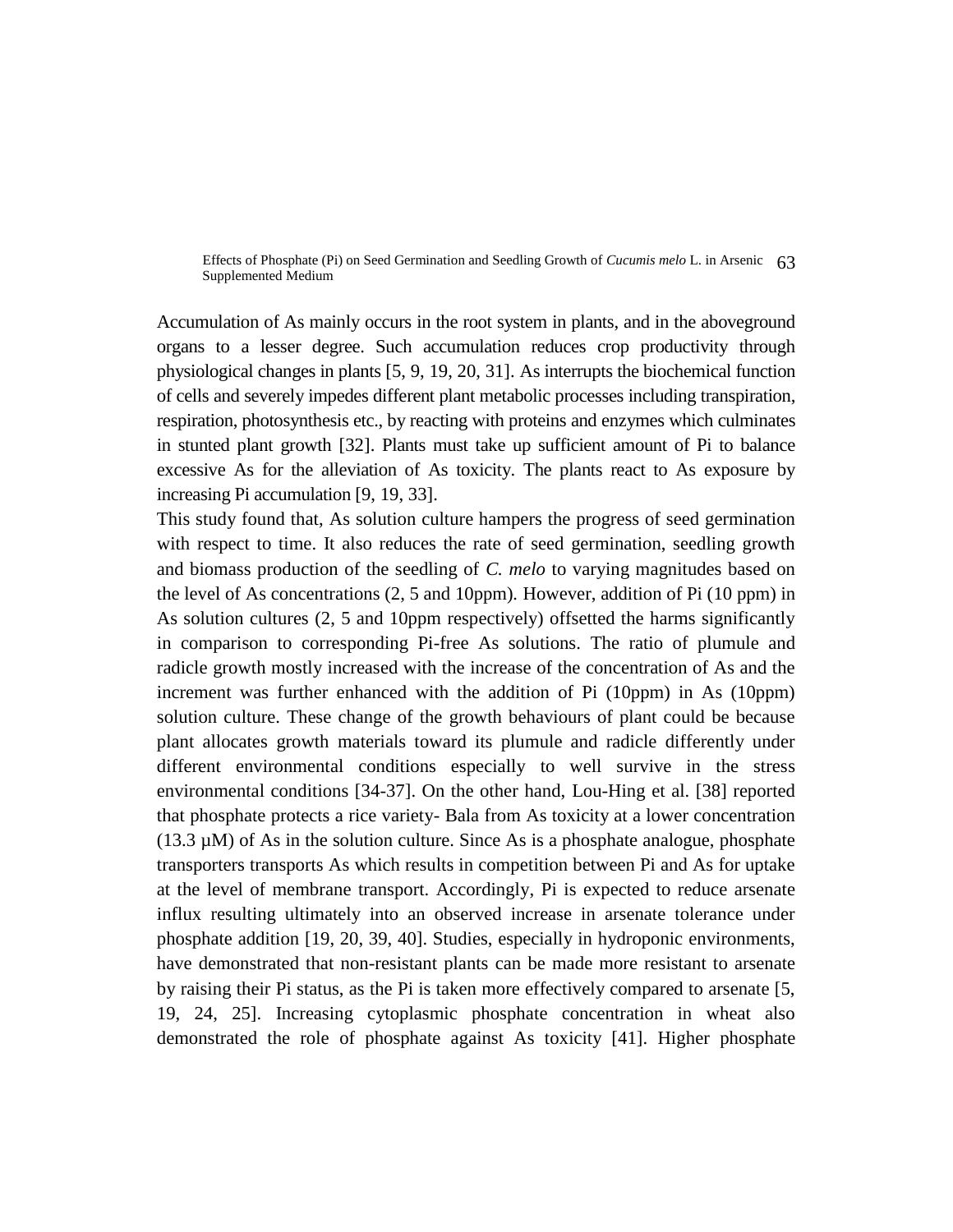Effects of Phosphate (Pi) on Seed Germination and Seedling Growth of *Cucumis melo* L. in Arsenic 63 Supplemented Medium

Accumulation of As mainly occurs in the root system in plants, and in the aboveground organs to a lesser degree. Such accumulation reduces crop productivity through physiological changes in plants [5, 9, 19, 20, 31]. As interrupts the biochemical function of cells and severely impedes different plant metabolic processes including transpiration, respiration, photosynthesis etc., by reacting with proteins and enzymes which culminates in stunted plant growth [32]. Plants must take up sufficient amount of Pi to balance excessive As for the alleviation of As toxicity. The plants react to As exposure by increasing Pi accumulation [9, 19, 33].

This study found that, As solution culture hampers the progress of seed germination with respect to time. It also reduces the rate of seed germination, seedling growth and biomass production of the seedling of *C. melo* to varying magnitudes based on the level of As concentrations (2, 5 and 10ppm)*.* However, addition of Pi (10 ppm) in As solution cultures (2, 5 and 10ppm respectively) offsetted the harms significantly in comparison to corresponding Pi-free As solutions. The ratio of plumule and radicle growth mostly increased with the increase of the concentration of As and the increment was further enhanced with the addition of Pi (10ppm) in As (10ppm) solution culture. These change of the growth behaviours of plant could be because plant allocates growth materials toward its plumule and radicle differently under different environmental conditions especially to well survive in the stress environmental conditions [34-37]. On the other hand, Lou-Hing et al. [38] reported that phosphate protects a rice variety- Bala from As toxicity at a lower concentration  $(13.3 \mu M)$  of As in the solution culture. Since As is a phosphate analogue, phosphate transporters transports As which results in competition between Pi and As for uptake at the level of membrane transport. Accordingly, Pi is expected to reduce arsenate influx resulting ultimately into an observed increase in arsenate tolerance under phosphate addition [19, 20, 39, 40]. Studies, especially in hydroponic environments, have demonstrated that non-resistant plants can be made more resistant to arsenate by raising their Pi status, as the Pi is taken more effectively compared to arsenate [5, 19, 24, 25]. Increasing cytoplasmic phosphate concentration in wheat also demonstrated the role of phosphate against As toxicity [41]. Higher phosphate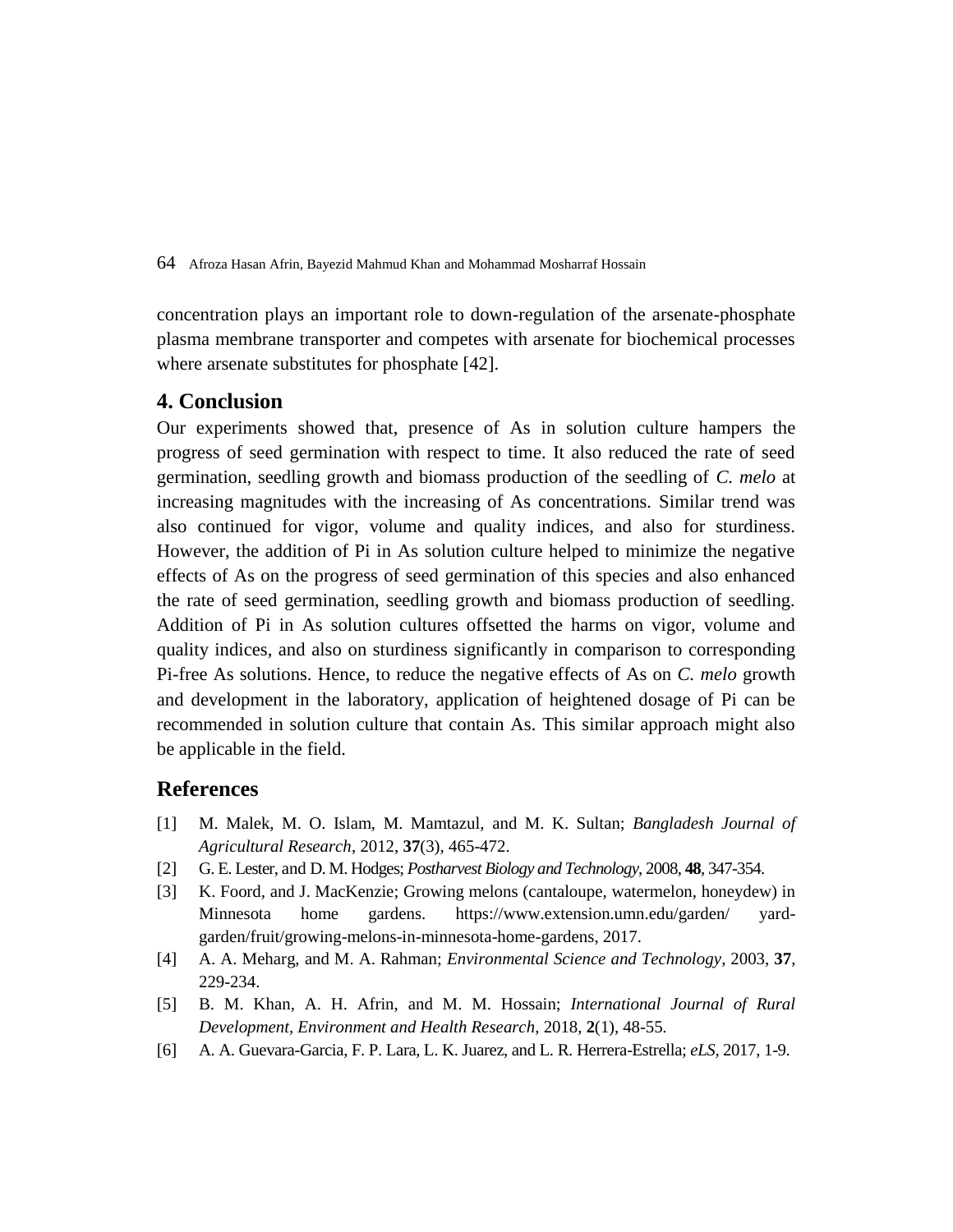concentration plays an important role to down-regulation of the arsenate-phosphate plasma membrane transporter and competes with arsenate for biochemical processes where arsenate substitutes for phosphate [42].

## **4. Conclusion**

Our experiments showed that, presence of As in solution culture hampers the progress of seed germination with respect to time. It also reduced the rate of seed germination, seedling growth and biomass production of the seedling of *C. melo* at increasing magnitudes with the increasing of As concentrations*.* Similar trend was also continued for vigor, volume and quality indices, and also for sturdiness. However, the addition of Pi in As solution culture helped to minimize the negative effects of As on the progress of seed germination of this species and also enhanced the rate of seed germination, seedling growth and biomass production of seedling. Addition of Pi in As solution cultures offsetted the harms on vigor, volume and quality indices, and also on sturdiness significantly in comparison to corresponding Pi-free As solutions. Hence, to reduce the negative effects of As on *C. melo* growth and development in the laboratory, application of heightened dosage of Pi can be recommended in solution culture that contain As. This similar approach might also be applicable in the field.

## **References**

- [1] M. Malek, M. O. Islam, M. Mamtazul, and M. K. Sultan; *Bangladesh Journal of Agricultural Research*, 2012, **37**(3), 465-472.
- [2] G. E. Lester, and D. M. Hodges; *Postharvest Biology and Technology*, 2008, **48**, 347-354.
- [3] K. Foord, and J. MacKenzie; Growing melons (cantaloupe, watermelon, honeydew) in Minnesota home gardens. [https://www.extension.umn.edu/garden/ yard](https://www.extension.umn.edu/garden/yard-garden/fruit/growing-melons-in-minnesota-home-gardens)[garden/fruit/growing-melons-in-minnesota-home-gardens,](https://www.extension.umn.edu/garden/yard-garden/fruit/growing-melons-in-minnesota-home-gardens) 2017.
- [4] A. A. Meharg, and M. A. Rahman; *Environmental Science and Technology*, 2003, **37**, 229-234.
- [5] B. M. Khan, A. H. Afrin, and M. M. Hossain; *International Journal of Rural Development, Environment and Health Research*, 2018, **2**(1), 48-55.
- [6] A. A. Guevara-Garcia, F. P. Lara, L. K. Juarez, and L. R. Herrera-Estrella; *eLS*, 2017, 1-9.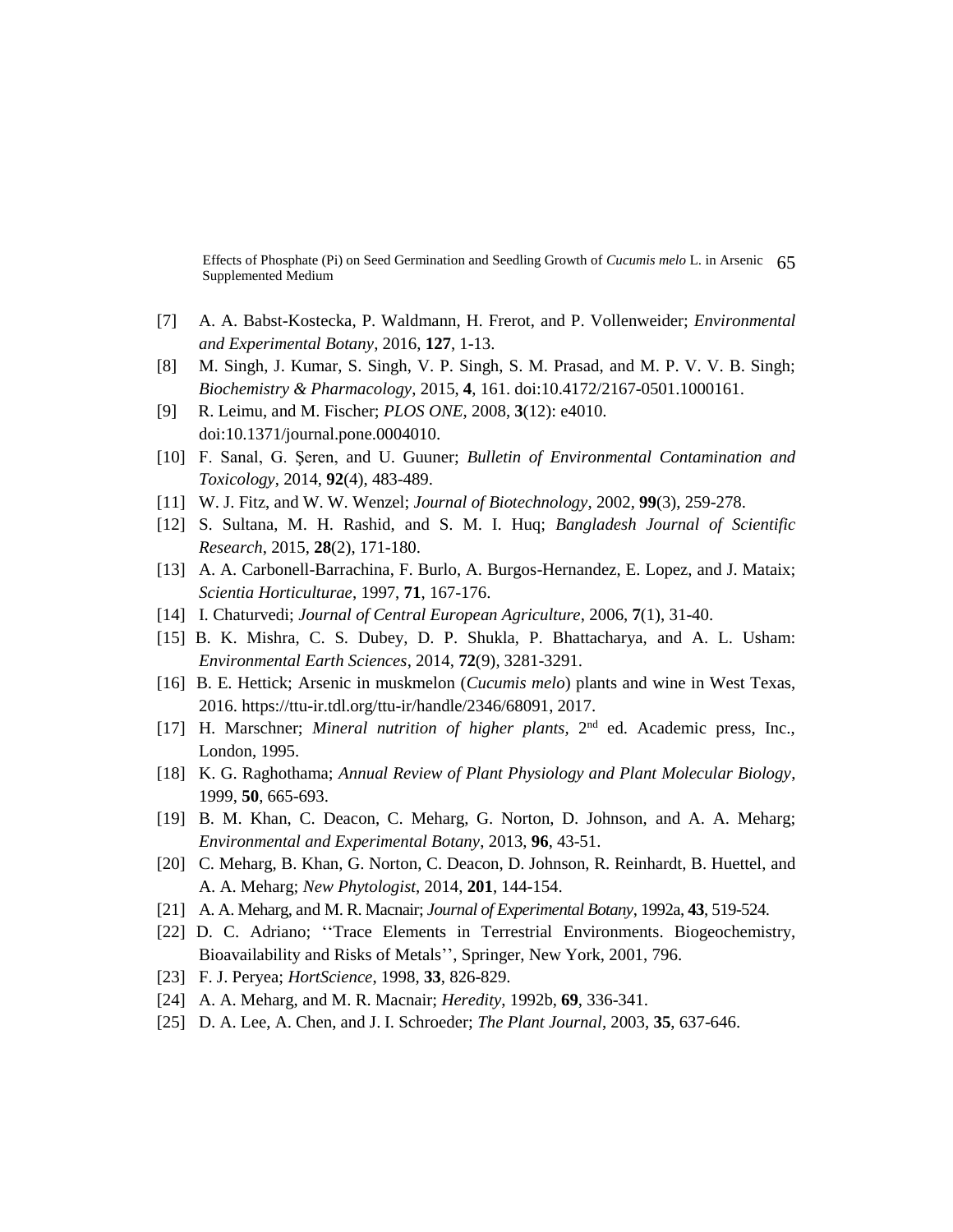Effects of Phosphate (Pi) on Seed Germination and Seedling Growth of *Cucumis melo* L. in Arsenic 65 Supplemented Medium

- [7] A. A. Babst-Kosteck[a,](http://www.sciencedirect.com/science/article/pii/S0098847216300399?via%3Dihub) P. Waldmann, H. Frerot, and P. Vollenweider; *[Environmental](http://www.sciencedirect.com/science/journal/00988472)  [and Experimental Botany](http://www.sciencedirect.com/science/journal/00988472)*, 2016, **127**, 1-13.
- [8] M. Singh, J. Kumar, S. Singh, V. P. Singh, S. M. Prasad, and M. P. V. V. B. Singh; *Biochemistry & Pharmacology*, 2015, **4**, 161. doi:10.4172/2167-0501.1000161.
- [9] R. Leimu, and M. Fischer; *PLOS ONE*, 2008, **3**(12): e4010. doi:10.1371/journal.pone.0004010.
- [10] F. Sanal, G. Şeren, and U. Guuner; *Bulletin of Environmental Contamination and Toxicology*, 2014, **92**(4), 483-489.
- [11] W. J. Fitz, and W. W. Wenzel; *Journal of [Biotechnology](http://www.sciencedirect.com/science/journal/01681656)*, 2002, **99**(3), 259-278.
- [12] S. Sultana, M. H. Rashid, and S. M. I. Huq; *Bangladesh Journal of Scientific Research*, 2015, **28**(2), 171-180.
- [13] A. A. Carbonell-Barrachina, F. Burlo, A. Burgos-Hernandez, E. Lopez, and J. Mataix; *Scientia Horticulturae*, 1997, **71**, 167-176.
- [14] I. Chaturvedi; *Journal of Central European Agriculture*, 2006, **7**(1), 31-40.
- [15] B. K. Mishra, C. S. Dubey, D. P. Shukla, P. Bhattacharya, and A. L. Usham: *Environmental Earth Sciences*, 2014, **72**(9), 3281-3291.
- [16] B. E. Hettick; Arsenic in muskmelon (*Cucumis melo*) plants and wine in West Texas, 2016. https://ttu-ir.tdl.org/ttu-ir/handle/2346/68091, 2017.
- [17] H. Marschner; *Mineral nutrition of higher plants*, 2<sup>nd</sup> ed. Academic press, Inc., London, 1995.
- [18] K. G. Raghothama; *Annual Review of Plant Physiology and Plant Molecular Biology*, 1999, **50**, 665-693.
- [19] B. M. Khan, C. Deacon, C. Meharg, G. Norton, D. Johnson, and A. A. Meharg; *Environmental and Experimental Botany*, 2013, **96**, 43-51.
- [20] C. Meharg, B. Khan, G. Norton, C. Deacon, D. Johnson, R. Reinhardt, B. Huettel, and A. A. Meharg; *New Phytologist*, 2014, **201**, 144-154.
- [21] A. A. Meharg, and M. R. Macnair; *Journal of Experimental Botany*, 1992a, **43**, 519-524.
- [22] D. C. Adriano; ''Trace Elements in Terrestrial Environments. Biogeochemistry, Bioavailability and Risks of Metals'', Springer, New York, 2001, 796.
- [23] F. J. Peryea; *HortScience*, 1998, **33**, 826-829.
- [24] A. A. Meharg, and M. R. Macnair; *Heredity*, 1992b, **69**, 336-341.
- [25] D. A. Lee, A. Chen, and J. I. Schroeder; *The Plant Journal*, 2003, **35**, 637-646.